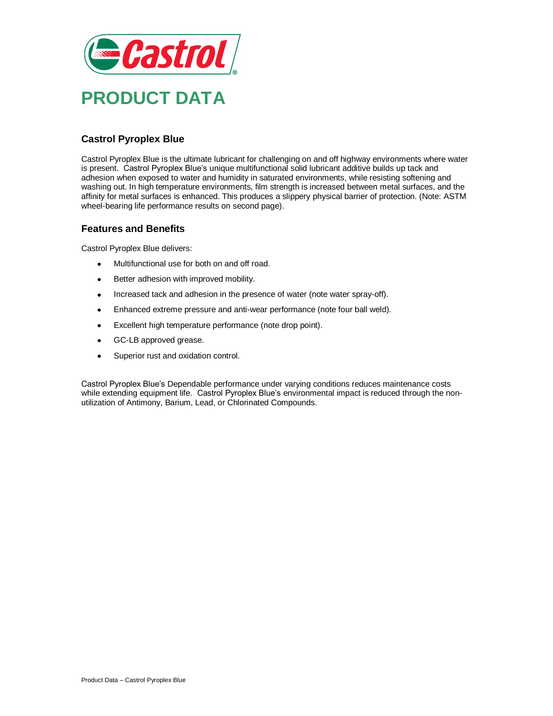

# **Castrol Pyroplex Blue**

Castrol Pyroplex Blue is the ultimate lubricant for challenging on and off highway environments where water is present. Castrol Pyroplex Blue's unique multifunctional solid lubricant additive builds up tack and adhesion when exposed to water and humidity in saturated environments, while resisting softening and washing out. In high temperature environments, film strength is increased between metal surfaces, and the affinity for metal surfaces is enhanced. This produces a slippery physical barrier of protection. (Note: ASTM wheel-bearing life performance results on second page).

### **Features and Benefits**

Castrol Pyroplex Blue delivers:

- $\bullet$ Multifunctional use for both on and off road.
- Better adhesion with improved mobility.
- Increased tack and adhesion in the presence of water (note water spray-off).  $\bullet$
- Enhanced extreme pressure and anti-wear performance (note four ball weld).  $\bullet$
- Excellent high temperature performance (note drop point).  $\bullet$
- GC-LB approved grease.  $\bullet$
- $\bullet$ Superior rust and oxidation control.

Castrol Pyroplex Blue's Dependable performance under varying conditions reduces maintenance costs while extending equipment life. Castrol Pyroplex Blue's environmental impact is reduced through the nonutilization of Antimony, Barium, Lead, or Chlorinated Compounds.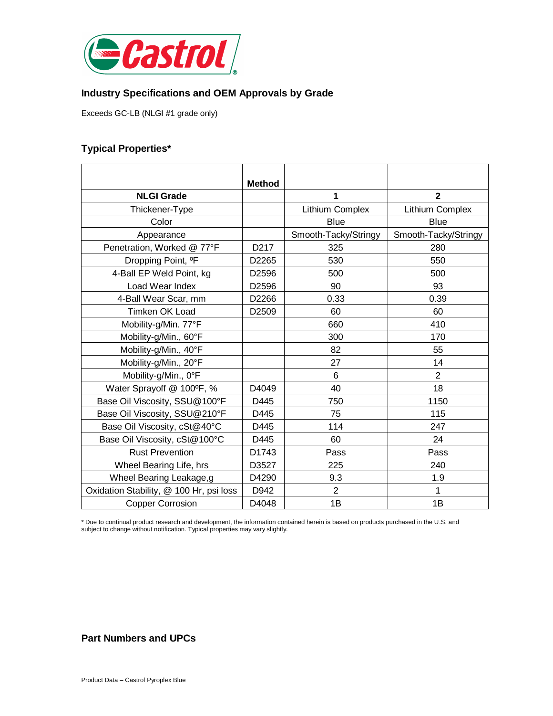

### **Industry Specifications and OEM Approvals by Grade**

Exceeds GC-LB (NLGI #1 grade only)

## **Typical Properties\***

|                                         | <b>Method</b>     |                      |                      |
|-----------------------------------------|-------------------|----------------------|----------------------|
| <b>NLGI Grade</b>                       |                   | 1                    | $\mathbf 2$          |
| Thickener-Type                          |                   | Lithium Complex      | Lithium Complex      |
| Color                                   |                   | <b>Blue</b>          | <b>Blue</b>          |
| Appearance                              |                   | Smooth-Tacky/Stringy | Smooth-Tacky/Stringy |
| Penetration, Worked @ 77°F              | D <sub>2</sub> 17 | 325                  | 280                  |
| Dropping Point, <sup>o</sup> F          | D2265             | 530                  | 550                  |
| 4-Ball EP Weld Point, kg                | D2596             | 500                  | 500                  |
| Load Wear Index                         | D2596             | 90                   | 93                   |
| 4-Ball Wear Scar, mm                    | D2266             | 0.33                 | 0.39                 |
| Timken OK Load                          | D2509             | 60                   | 60                   |
| Mobility-g/Min. 77°F                    |                   | 660                  | 410                  |
| Mobility-g/Min., 60°F                   |                   | 300                  | 170                  |
| Mobility-g/Min., 40°F                   |                   | 82                   | 55                   |
| Mobility-g/Min., 20°F                   |                   | 27                   | 14                   |
| Mobility-g/Min., 0°F                    |                   | 6                    | $\overline{2}$       |
| Water Sprayoff @ 100°F, %               | D4049             | 40                   | 18                   |
| Base Oil Viscosity, SSU@100°F           | D445              | 750                  | 1150                 |
| Base Oil Viscosity, SSU@210°F           | D445              | 75                   | 115                  |
| Base Oil Viscosity, cSt@40°C            | D445              | 114                  | 247                  |
| Base Oil Viscosity, cSt@100°C           | D445              | 60                   | 24                   |
| <b>Rust Prevention</b>                  | D1743             | Pass                 | Pass                 |
| Wheel Bearing Life, hrs                 | D3527             | 225                  | 240                  |
| Wheel Bearing Leakage,g                 | D4290             | 9.3                  | 1.9                  |
| Oxidation Stability, @ 100 Hr, psi loss | D942              | $\overline{2}$       | 1                    |
| <b>Copper Corrosion</b>                 | D4048             | 1B                   | 1B                   |

\* Due to continual product research and development, the information contained herein is based on products purchased in the U.S. and subject to change without notification. Typical properties may vary slightly.

# **Part Numbers and UPCs**